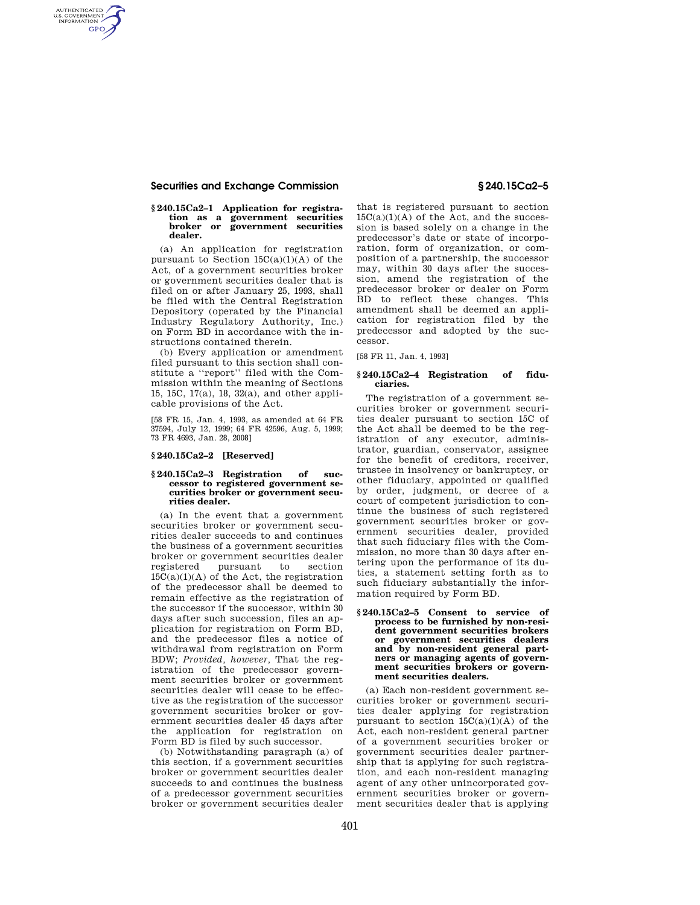# **Securities and Exchange Commission § 240.15Ca2–5**

AUTHENTICATED<br>U.S. GOVERNMENT<br>INFORMATION **GPO** 

### **§ 240.15Ca2–1 Application for registration as a government securities broker or government securities dealer.**

(a) An application for registration pursuant to Section  $15C(a)(1)(A)$  of the Act, of a government securities broker or government securities dealer that is filed on or after January 25, 1993, shall be filed with the Central Registration Depository (operated by the Financial Industry Regulatory Authority, Inc.) on Form BD in accordance with the instructions contained therein.

(b) Every application or amendment filed pursuant to this section shall constitute a ''report'' filed with the Commission within the meaning of Sections 15, 15C, 17(a), 18, 32(a), and other applicable provisions of the Act.

[58 FR 15, Jan. 4, 1993, as amended at 64 FR 37594, July 12, 1999; 64 FR 42596, Aug. 5, 1999; 73 FR 4693, Jan. 28, 2008]

## **§ 240.15Ca2–2 [Reserved]**

### **§ 240.15Ca2–3 Registration of successor to registered government securities broker or government securities dealer.**

(a) In the event that a government securities broker or government securities dealer succeeds to and continues the business of a government securities broker or government securities dealer registered pursuant to section  $15C(a)(1)(A)$  of the Act, the registration of the predecessor shall be deemed to remain effective as the registration of the successor if the successor, within 30 days after such succession, files an application for registration on Form BD, and the predecessor files a notice of withdrawal from registration on Form BDW; *Provided, however,* That the registration of the predecessor government securities broker or government securities dealer will cease to be effective as the registration of the successor government securities broker or government securities dealer 45 days after the application for registration on Form BD is filed by such successor.

(b) Notwithstanding paragraph (a) of this section, if a government securities broker or government securities dealer succeeds to and continues the business of a predecessor government securities broker or government securities dealer

that is registered pursuant to section  $15C(a)(1)(A)$  of the Act, and the succession is based solely on a change in the predecessor's date or state of incorporation, form of organization, or composition of a partnership, the successor may, within 30 days after the succession, amend the registration of the predecessor broker or dealer on Form BD to reflect these changes. This amendment shall be deemed an application for registration filed by the predecessor and adopted by the successor.

[58 FR 11, Jan. 4, 1993]

## **§ 240.15Ca2–4 Registration of fiduciaries.**

The registration of a government securities broker or government securities dealer pursuant to section 15C of the Act shall be deemed to be the registration of any executor, administrator, guardian, conservator, assignee for the benefit of creditors, receiver, trustee in insolvency or bankruptcy, or other fiduciary, appointed or qualified by order, judgment, or decree of a court of competent jurisdiction to continue the business of such registered government securities broker or government securities dealer, provided that such fiduciary files with the Commission, no more than 30 days after entering upon the performance of its duties, a statement setting forth as to such fiduciary substantially the information required by Form BD.

### **§ 240.15Ca2–5 Consent to service of process to be furnished by non-resident government securities brokers or government securities dealers and by non-resident general partners or managing agents of government securities brokers or government securities dealers.**

(a) Each non-resident government securities broker or government securities dealer applying for registration pursuant to section  $15C(a)(1)(A)$  of the Act, each non-resident general partner of a government securities broker or government securities dealer partnership that is applying for such registration, and each non-resident managing agent of any other unincorporated government securities broker or government securities dealer that is applying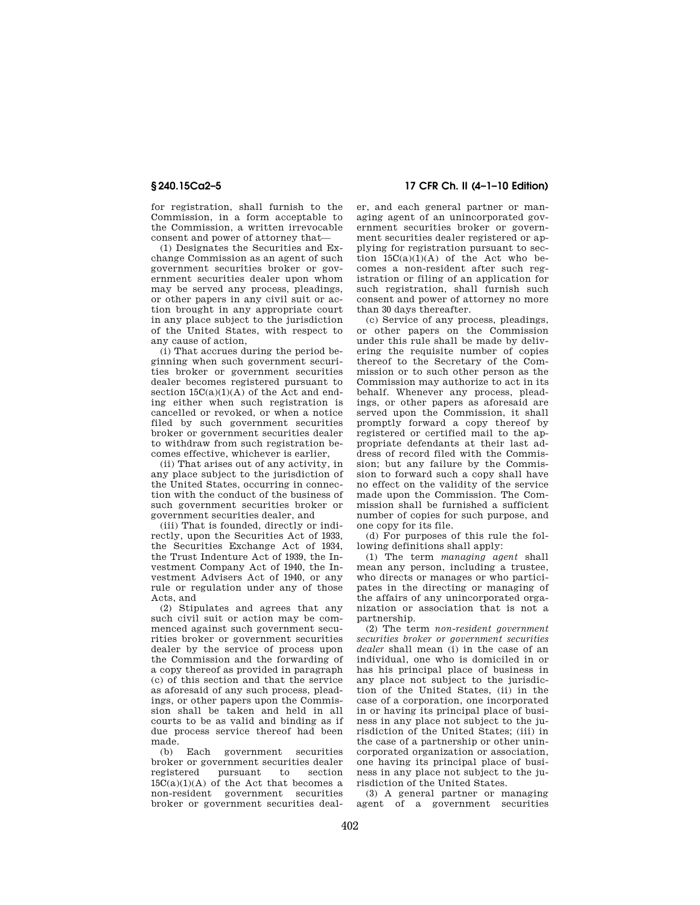for registration, shall furnish to the Commission, in a form acceptable to the Commission, a written irrevocable consent and power of attorney that—

(1) Designates the Securities and Exchange Commission as an agent of such government securities broker or government securities dealer upon whom may be served any process, pleadings, or other papers in any civil suit or action brought in any appropriate court in any place subject to the jurisdiction of the United States, with respect to any cause of action,

(i) That accrues during the period beginning when such government securities broker or government securities dealer becomes registered pursuant to section  $15C(a)(1)(A)$  of the Act and ending either when such registration is cancelled or revoked, or when a notice filed by such government securities broker or government securities dealer to withdraw from such registration becomes effective, whichever is earlier,

(ii) That arises out of any activity, in any place subject to the jurisdiction of the United States, occurring in connection with the conduct of the business of such government securities broker or government securities dealer, and

(iii) That is founded, directly or indirectly, upon the Securities Act of 1933, the Securities Exchange Act of 1934, the Trust Indenture Act of 1939, the Investment Company Act of 1940, the Investment Advisers Act of 1940, or any rule or regulation under any of those Acts, and

(2) Stipulates and agrees that any such civil suit or action may be commenced against such government securities broker or government securities dealer by the service of process upon the Commission and the forwarding of a copy thereof as provided in paragraph (c) of this section and that the service as aforesaid of any such process, pleadings, or other papers upon the Commission shall be taken and held in all courts to be as valid and binding as if due process service thereof had been  $\begin{bmatrix} \text{made.} \\ \text{(h)} \\ \text{Each} \end{bmatrix}$ 

(b) Each government securities broker or government securities dealer<br>registered pursuant to section registered  $15C(a)(1)(A)$  of the Act that becomes a non-resident government securities broker or government securities deal-

**§ 240.15Ca2–5 17 CFR Ch. II (4–1–10 Edition)** 

er, and each general partner or managing agent of an unincorporated government securities broker or government securities dealer registered or applying for registration pursuant to section  $15C(a)(1)(A)$  of the Act who becomes a non-resident after such registration or filing of an application for such registration, shall furnish such consent and power of attorney no more than 30 days thereafter.

(c) Service of any process, pleadings, or other papers on the Commission under this rule shall be made by delivering the requisite number of copies thereof to the Secretary of the Commission or to such other person as the Commission may authorize to act in its behalf. Whenever any process, pleadings, or other papers as aforesaid are served upon the Commission, it shall promptly forward a copy thereof by registered or certified mail to the appropriate defendants at their last address of record filed with the Commission; but any failure by the Commission to forward such a copy shall have no effect on the validity of the service made upon the Commission. The Commission shall be furnished a sufficient number of copies for such purpose, and one copy for its file.

(d) For purposes of this rule the following definitions shall apply:

(1) The term *managing agent* shall mean any person, including a trustee, who directs or manages or who participates in the directing or managing of the affairs of any unincorporated organization or association that is not a partnership.

(2) The term *non-resident government securities broker or government securities dealer* shall mean (i) in the case of an individual, one who is domiciled in or has his principal place of business in any place not subject to the jurisdiction of the United States, (ii) in the case of a corporation, one incorporated in or having its principal place of business in any place not subject to the jurisdiction of the United States; (iii) in the case of a partnership or other unincorporated organization or association, one having its principal place of business in any place not subject to the jurisdiction of the United States.

(3) A general partner or managing agent of a government securities